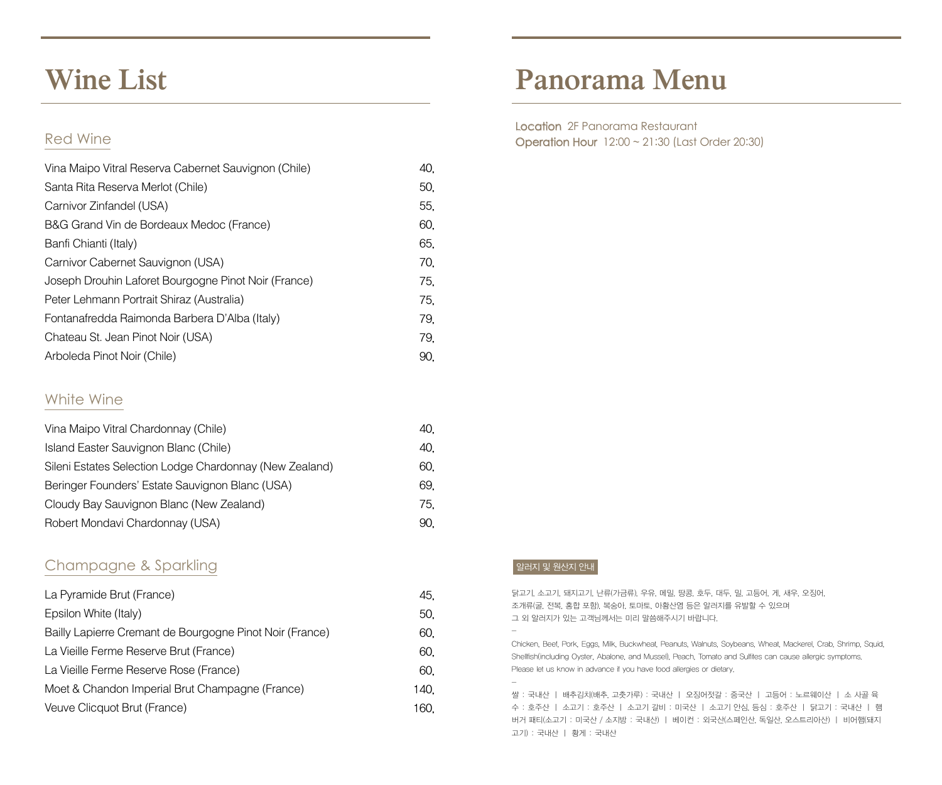### **Wine List**

### Red Wine

| Vina Maipo Vitral Reserva Cabernet Sauvignon (Chile) | 40. |
|------------------------------------------------------|-----|
| Santa Rita Reserva Merlot (Chile)                    | 50. |
| Carnivor Zinfandel (USA)                             | 55, |
| B&G Grand Vin de Bordeaux Medoc (France)             | 60, |
| Banfi Chianti (Italy)                                | 65. |
| Carnivor Cabernet Sauvignon (USA)                    | 70. |
| Joseph Drouhin Laforet Bourgogne Pinot Noir (France) | 75. |
| Peter Lehmann Portrait Shiraz (Australia)            | 75. |
| Fontanafredda Raimonda Barbera D'Alba (Italy)        | 79. |
| Chateau St. Jean Pinot Noir (USA)                    | 79. |
| Arboleda Pinot Noir (Chile)                          | 90. |

#### White Wine

| Vina Maipo Vitral Chardonnay (Chile)                    | 40. |
|---------------------------------------------------------|-----|
| Island Easter Sauvignon Blanc (Chile)                   | 40. |
| Sileni Estates Selection Lodge Chardonnay (New Zealand) | 60. |
| Beringer Founders' Estate Sauvignon Blanc (USA)         | 69. |
| Cloudy Bay Sauvignon Blanc (New Zealand)                | 75. |
| Robert Mondavi Chardonnay (USA)                         | 90. |

#### Champagne & Sparkling

| La Pyramide Brut (France)                                | 45.  |
|----------------------------------------------------------|------|
| Epsilon White (Italy)                                    | 50.  |
| Bailly Lapierre Cremant de Bourgogne Pinot Noir (France) | 60.  |
| La Vieille Ferme Reserve Brut (France)                   | 60.  |
| La Vieille Ferme Reserve Rose (France)                   | 60.  |
| Moet & Chandon Imperial Brut Champagne (France)          | 140. |
| Veuve Clicquot Brut (France)                             | 160. |

# **Panorama Menu**

Location 2F Panorama Restaurant Operation Hour 12:00 ~ 21:30 (Last Order 20:30)

#### 알러지 및 원산지 안내

-

-

닭고기, 소고기, 돼지고기, 난류(가금류), 우유, 메밀, 땅콩, 호두, 대두, 밀, 고등어, 게, 새우, 오징어, 조개류(굴, 전복, 홍합 포함), 복숭아, 토마토, 아황산염 등은 알러지를 유발할 수 있으며 그 외 알러지가 있는 고객님께서는 미리 말씀해주시기 바랍니다.

Chicken, Beef, Pork, Eggs, Milk, Buckwheat, Peanuts, Walnuts, Soybeans, Wheat, Mackerel, Crab, Shrimp, Squid, Shellfish(including Oyster, Abalone, and Mussel), Peach, Tomato and Sulfites can cause allergic symptoms. Please let us know in advance if you have food allergies or dietary.

쌀 : 국내산 ㅣ 배추김치(배추, 고춧가루) : 국내산 ㅣ 오징어젓갈 : 중국산 ㅣ 고등어 : 노르웨이산 ㅣ 소 사골 육 수 : 호주산 ㅣ 소고기 : 호주산 ㅣ 소고기 갈비 : 미국산 ㅣ 소고기 안심, 등심 : 호주산 ㅣ 닭고기 : 국내산 ㅣ 햄 버거 패티(소고기 : 미국산 / 소지방 : 국내산) ㅣ 베이컨 : 외국산(스페인산, 독일산, 오스트리아산) ㅣ 비어햄(돼지 고기) : 국내산 ㅣ 황게 : 국내산